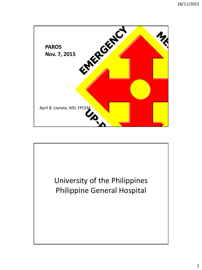

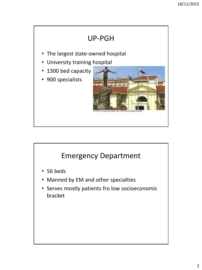

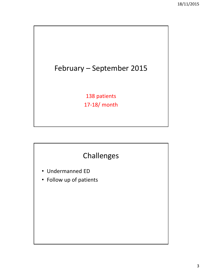## February – September 2015

138 patients 17-18/ month

## Challenges

- Undermanned ED
- Follow up of patients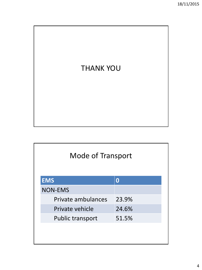

| <b>Mode of Transport</b> |       |  |
|--------------------------|-------|--|
| <b>EMS</b>               | O     |  |
| <b>NON-EMS</b>           |       |  |
| Private ambulances       | 23.9% |  |
| Private vehicle          | 24.6% |  |
| Public transport         | 51.5% |  |
|                          |       |  |
|                          |       |  |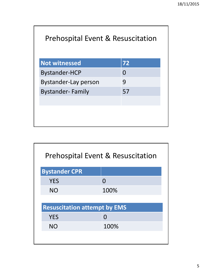| <b>Not witnessed</b>        | 72       |  |
|-----------------------------|----------|--|
| <b>Bystander-HCP</b>        | $\Omega$ |  |
| <b>Bystander-Lay person</b> | 9        |  |
| <b>Bystander-Family</b>     | 57       |  |
|                             |          |  |
|                             |          |  |
|                             |          |  |

| <b>Prehospital Event &amp; Resuscitation</b> |                                     |  |
|----------------------------------------------|-------------------------------------|--|
| <b>Bystander CPR</b>                         |                                     |  |
| <b>YES</b>                                   | O                                   |  |
| <b>NO</b>                                    | 100%                                |  |
|                                              |                                     |  |
|                                              | <b>Resuscitation attempt by EMS</b> |  |
| <b>YES</b>                                   |                                     |  |
| <b>NO</b>                                    | 100%                                |  |
|                                              |                                     |  |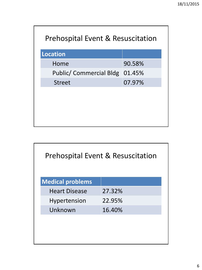| <b>Prehospital Event &amp; Resuscitation</b> |        |  |
|----------------------------------------------|--------|--|
| <b>Location</b>                              |        |  |
| Home                                         | 90.58% |  |
| Public/ Commercial Bldg 01.45%               |        |  |
| <b>Street</b>                                | 07.97% |  |
|                                              |        |  |
|                                              |        |  |
|                                              |        |  |
|                                              |        |  |

| <b>Prehospital Event &amp; Resuscitation</b> |        |  |
|----------------------------------------------|--------|--|
| <b>Medical problems</b>                      |        |  |
| <b>Heart Disease</b>                         | 27.32% |  |
| Hypertension                                 | 22.95% |  |
| Unknown                                      | 16.40% |  |
|                                              |        |  |
|                                              |        |  |
|                                              |        |  |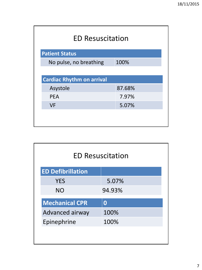| <b>ED Resuscitation</b>          |        |  |  |
|----------------------------------|--------|--|--|
| <b>Patient Status</b>            |        |  |  |
| No pulse, no breathing           | 100%   |  |  |
|                                  |        |  |  |
| <b>Cardiac Rhythm on arrival</b> |        |  |  |
| Asystole                         | 87.68% |  |  |
| <b>PEA</b>                       | 7.97%  |  |  |
| <b>VF</b>                        | 5.07%  |  |  |
|                                  |        |  |  |
|                                  |        |  |  |

| <b>ED Resuscitation</b>  |          |
|--------------------------|----------|
| <b>ED Defibrillation</b> |          |
| <b>YES</b>               | 5.07%    |
| <b>NO</b>                | 94.93%   |
| <b>Mechanical CPR</b>    | $\bf{0}$ |
| Advanced airway          | 100%     |
| Epinephrine              | 100%     |
|                          |          |
|                          |          |